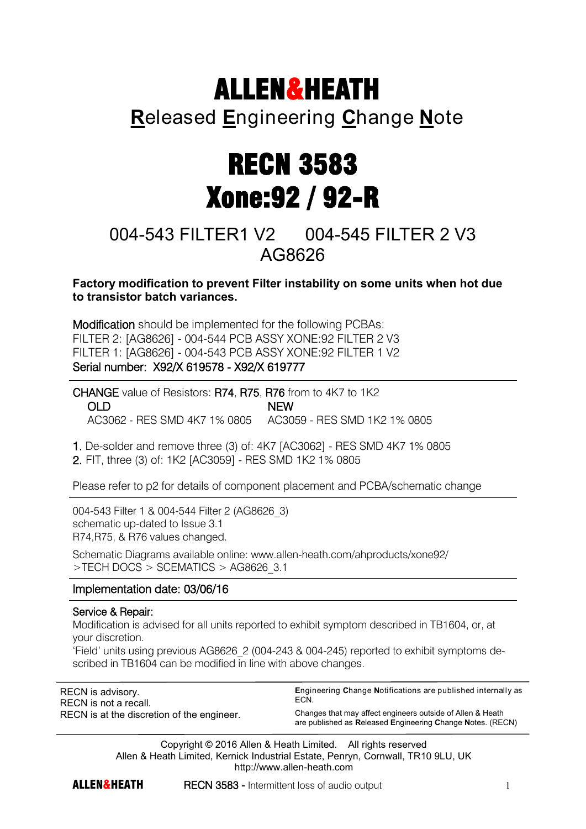## ALLEN&HEATH

## **R**eleased **E**ngineering **C**hange **N**ote

# RECN 3583 Xone:92 / 92-R

## 004-543 FILTER1 V2 004-545 FILTER 2 V3 AG8626

**Factory modification to prevent Filter instability on some units when hot due to transistor batch variances.** 

Modification should be implemented for the following PCBAs: FILTER 2: [AG8626] - 004-544 PCB ASSY XONE:92 FILTER 2 V3 FILTER 1: [AG8626] - 004-543 PCB ASSY XONE:92 FILTER 1 V2 Serial number: X92/X 619578 - X92/X 619777

CHANGE value of Resistors: R74, R75, R76 from to 4K7 to 1K2 OLD NEW AC3062 - RES SMD 4K7 1% 0805 AC3059 - RES SMD 1K2 1% 0805

1. De-solder and remove three (3) of: 4K7 [AC3062] - RES SMD 4K7 1% 0805 2. FIT, three (3) of: 1K2 [AC3059] - RES SMD 1K2 1% 0805

Please refer to p2 for details of component placement and PCBA/schematic change

004-543 Filter 1 & 004-544 Filter 2 (AG8626\_3) schematic up-dated to Issue 3.1 R74,R75, & R76 values changed.

Schematic Diagrams available online: www.allen-heath.com/ahproducts/xone92/ >TECH DOCS > SCEMATICS > AG8626\_3.1

### Implementation date: 03/06/16

#### Service & Repair:

 $\overline{a}$ 

Modification is advised for all units reported to exhibit symptom described in TB1604, or, at your discretion.

'Field' units using previous AG8626\_2 (004-243 & 004-245) reported to exhibit symptoms described in TB1604 can be modified in line with above changes.

| RECN is advisory.                          | <b>Engineering Change Notifications are published internally as</b>                                                      |
|--------------------------------------------|--------------------------------------------------------------------------------------------------------------------------|
| RECN is not a recall.                      | FCN.                                                                                                                     |
| RECN is at the discretion of the engineer. | Changes that may affect engineers outside of Allen & Heath<br>are published as Released Engineering Change Notes. (RECN) |

Copyright © 2016 Allen & Heath Limited. All rights reserved Allen & Heath Limited, Kernick Industrial Estate, Penryn, Cornwall, TR10 9LU, UK http://www.allen-heath.com

**ALLEN&HEATH** RECN 3583 - Intermittent loss of audio output 1